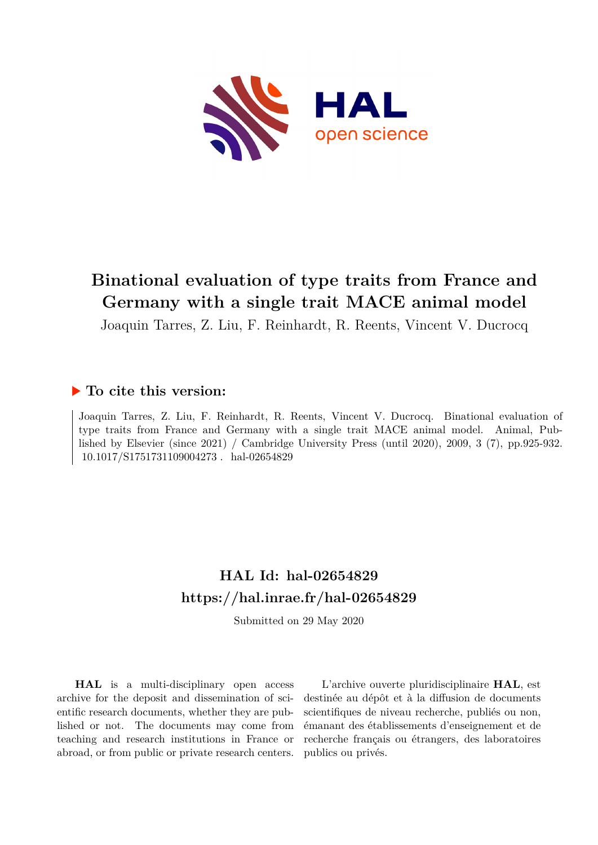

## **Binational evaluation of type traits from France and Germany with a single trait MACE animal model**

Joaquin Tarres, Z. Liu, F. Reinhardt, R. Reents, Vincent V. Ducrocq

### **To cite this version:**

Joaquin Tarres, Z. Liu, F. Reinhardt, R. Reents, Vincent V. Ducrocq. Binational evaluation of type traits from France and Germany with a single trait MACE animal model. Animal, Published by Elsevier (since 2021) / Cambridge University Press (until 2020), 2009, 3 (7), pp.925-932. 10.1017/S1751731109004273. hal-02654829

### **HAL Id: hal-02654829 <https://hal.inrae.fr/hal-02654829>**

Submitted on 29 May 2020

**HAL** is a multi-disciplinary open access archive for the deposit and dissemination of scientific research documents, whether they are published or not. The documents may come from teaching and research institutions in France or abroad, or from public or private research centers.

L'archive ouverte pluridisciplinaire **HAL**, est destinée au dépôt et à la diffusion de documents scientifiques de niveau recherche, publiés ou non, émanant des établissements d'enseignement et de recherche français ou étrangers, des laboratoires publics ou privés.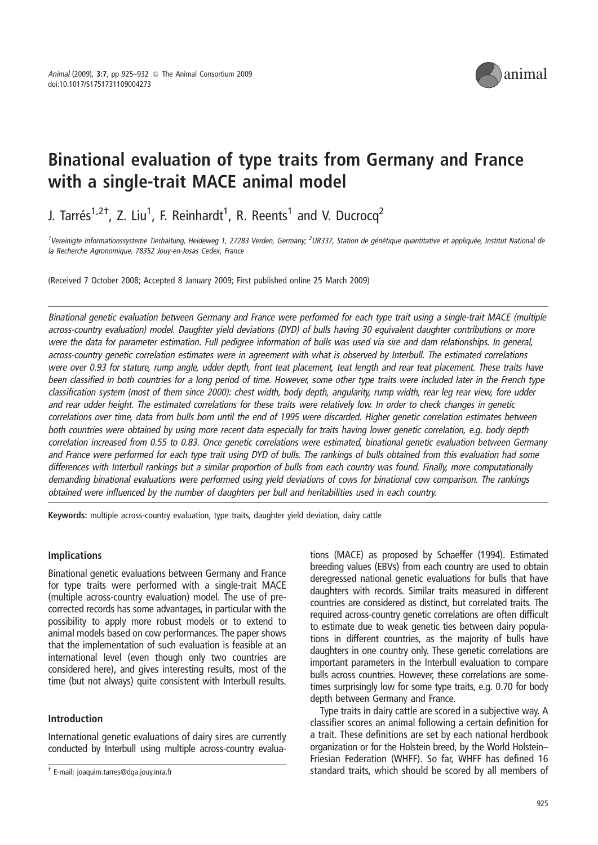

# Binational evaluation of type traits from Germany and France with a single-trait MACE animal model

J. Tarrés<sup>1,2†</sup>, Z. Liu<sup>1</sup>, F. Reinhardt<sup>1</sup>, R. Reents<sup>1</sup> and V. Ducrocq<sup>2</sup>

<sup>1</sup>Vereinigte Informationssysteme Tierhaltung, Heideweg 1, 27283 Verden, Germany; <sup>2</sup>UR337, Station de génétique quantitative et appliquée, Institut National de la Recherche Agronomique, 78352 Jouy-en-Josas Cedex, France

(Received 7 October 2008; Accepted 8 January 2009; First published online 25 March 2009)

Binational genetic evaluation between Germany and France were performed for each type trait using <sup>a</sup> single-trait MACE (multiple across-country evaluation) model. Daughter yield deviations (DYD) of bulls having 30 equivalent daughter contributions or more were the data for parameter estimation. Full pedigree information of bulls was used via sire and dam relationships. In general, across-country genetic correlation estimates were in agreement with what is observed by Interbull. The estimated correlations were over 0.93 for stature, rump angle, udder depth, front teat placement, teat length and rear teat placement. These traits have been classified in both countries for <sup>a</sup> long period of time. However, some other type traits were included later in the French type classification system (most of them since 2000): chest width, body depth, angularity, rump width, rear leg rear view, fore udder and rear udder height. The estimated correlations for these traits were relatively low. In order to check changes in genetic correlations over time, data from bulls born until the end of 1995 were discarded. Higher genetic correlation estimates between both countries were obtained by using more recent data especially for traits having lower genetic correlation, e.g. body depth correlation increased from 0.55 to 0.83. Once genetic correlations were estimated, binational genetic evaluation between Germany and France were performed for each type trait using DYD of bulls. The rankings of bulls obtained from this evaluation had some differences with Interbull rankings but <sup>a</sup> similar proportion of bulls from each country was found. Finally, more computationally demanding binational evaluations were performed using yield deviations of cows for binational cow comparison. The rankings obtained were influenced by the number of daughters per bull and heritabilities used in each country.

Keywords: multiple across-country evaluation, type traits, daughter yield deviation, dairy cattle

#### Implications

Binational genetic evaluations between Germany and France for type traits were performed with a single-trait MACE (multiple across-country evaluation) model. The use of precorrected records has some advantages, in particular with the possibility to apply more robust models or to extend to animal models based on cow performances. The paper shows that the implementation of such evaluation is feasible at an international level (even though only two countries are considered here), and gives interesting results, most of the time (but not always) quite consistent with Interbull results.

#### Introduction

International genetic evaluations of dairy sires are currently conducted by Interbull using multiple across-country evalua-

tions (MACE) as proposed by Schaeffer (1994). Estimated breeding values (EBVs) from each country are used to obtain deregressed national genetic evaluations for bulls that have daughters with records. Similar traits measured in different countries are considered as distinct, but correlated traits. The required across-country genetic correlations are often difficult to estimate due to weak genetic ties between dairy populations in different countries, as the majority of bulls have daughters in one country only. These genetic correlations are important parameters in the Interbull evaluation to compare bulls across countries. However, these correlations are sometimes surprisingly low for some type traits, e.g. 0.70 for body depth between Germany and France.

Type traits in dairy cattle are scored in a subjective way. A classifier scores an animal following a certain definition for a trait. These definitions are set by each national herdbook organization or for the Holstein breed, by the World Holstein– Friesian Federation (WHFF). So far, WHFF has defined 16 t E-mail: joaquim.tarres@dga.jouy.inra.fr **and in the standard traits, which should be scored by all members of**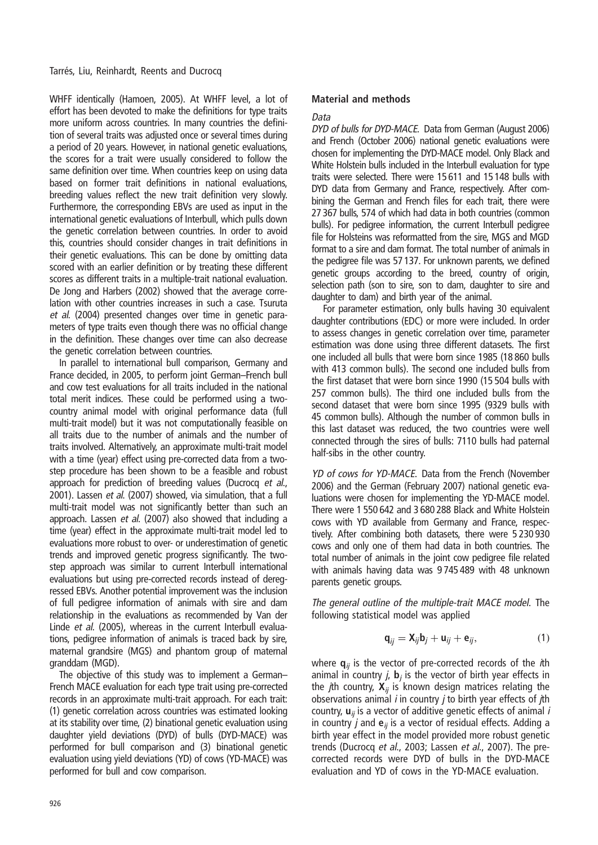WHFF identically (Hamoen, 2005). At WHFF level, a lot of effort has been devoted to make the definitions for type traits more uniform across countries. In many countries the definition of several traits was adjusted once or several times during a period of 20 years. However, in national genetic evaluations, the scores for a trait were usually considered to follow the same definition over time. When countries keep on using data based on former trait definitions in national evaluations, breeding values reflect the new trait definition very slowly. Furthermore, the corresponding EBVs are used as input in the international genetic evaluations of Interbull, which pulls down the genetic correlation between countries. In order to avoid this, countries should consider changes in trait definitions in their genetic evaluations. This can be done by omitting data scored with an earlier definition or by treating these different scores as different traits in a multiple-trait national evaluation. De Jong and Harbers (2002) showed that the average correlation with other countries increases in such a case. Tsuruta et al. (2004) presented changes over time in genetic parameters of type traits even though there was no official change in the definition. These changes over time can also decrease the genetic correlation between countries.

In parallel to international bull comparison, Germany and France decided, in 2005, to perform joint German–French bull and cow test evaluations for all traits included in the national total merit indices. These could be performed using a twocountry animal model with original performance data (full multi-trait model) but it was not computationally feasible on all traits due to the number of animals and the number of traits involved. Alternatively, an approximate multi-trait model with a time (year) effect using pre-corrected data from a twostep procedure has been shown to be a feasible and robust approach for prediction of breeding values (Ducrocq et al., 2001). Lassen et al. (2007) showed, via simulation, that a full multi-trait model was not significantly better than such an approach. Lassen et al. (2007) also showed that including a time (year) effect in the approximate multi-trait model led to evaluations more robust to over- or underestimation of genetic trends and improved genetic progress significantly. The twostep approach was similar to current Interbull international evaluations but using pre-corrected records instead of deregressed EBVs. Another potential improvement was the inclusion of full pedigree information of animals with sire and dam relationship in the evaluations as recommended by Van der Linde et al. (2005), whereas in the current Interbull evaluations, pedigree information of animals is traced back by sire, maternal grandsire (MGS) and phantom group of maternal granddam (MGD).

The objective of this study was to implement a German– French MACE evaluation for each type trait using pre-corrected records in an approximate multi-trait approach. For each trait: (1) genetic correlation across countries was estimated looking at its stability over time, (2) binational genetic evaluation using daughter yield deviations (DYD) of bulls (DYD-MACE) was performed for bull comparison and (3) binational genetic evaluation using yield deviations (YD) of cows (YD-MACE) was performed for bull and cow comparison.

#### Material and methods

#### Data

DYD of bulls for DYD-MACE. Data from German (August 2006) and French (October 2006) national genetic evaluations were chosen for implementing the DYD-MACE model. Only Black and White Holstein bulls included in the Interbull evaluation for type traits were selected. There were 15 611 and 15 148 bulls with DYD data from Germany and France, respectively. After combining the German and French files for each trait, there were 27 367 bulls, 574 of which had data in both countries (common bulls). For pedigree information, the current Interbull pedigree file for Holsteins was reformatted from the sire, MGS and MGD format to a sire and dam format. The total number of animals in the pedigree file was 57 137. For unknown parents, we defined genetic groups according to the breed, country of origin, selection path (son to sire, son to dam, daughter to sire and daughter to dam) and birth year of the animal.

For parameter estimation, only bulls having 30 equivalent daughter contributions (EDC) or more were included. In order to assess changes in genetic correlation over time, parameter estimation was done using three different datasets. The first one included all bulls that were born since 1985 (18 860 bulls with 413 common bulls). The second one included bulls from the first dataset that were born since 1990 (15 504 bulls with 257 common bulls). The third one included bulls from the second dataset that were born since 1995 (9329 bulls with 45 common bulls). Although the number of common bulls in this last dataset was reduced, the two countries were well connected through the sires of bulls: 7110 bulls had paternal half-sibs in the other country.

YD of cows for YD-MACE. Data from the French (November 2006) and the German (February 2007) national genetic evaluations were chosen for implementing the YD-MACE model. There were 1 550 642 and 3 680 288 Black and White Holstein cows with YD available from Germany and France, respectively. After combining both datasets, there were 5 230 930 cows and only one of them had data in both countries. The total number of animals in the joint cow pedigree file related with animals having data was 9 745 489 with 48 unknown parents genetic groups.

The general outline of the multiple-trait MACE model. The following statistical model was applied

$$
\mathbf{q}_{ij} = \mathbf{X}_{ij}\mathbf{b}_j + \mathbf{u}_{ij} + \mathbf{e}_{ij},\tag{1}
$$

where  $\mathbf{q}_{ii}$  is the vector of pre-corrected records of the *i*th animal in country *i*,  $\mathbf{b}_i$  is the vector of birth year effects in the *j*th country,  $X_{ii}$  is known design matrices relating the observations animal  $i$  in country  $j$  to birth year effects of  $j$ th country,  $\mathbf{u}_{ii}$  is a vector of additive genetic effects of animal i in country *i* and  $e_{ii}$  is a vector of residual effects. Adding a birth year effect in the model provided more robust genetic trends (Ducrocq et al., 2003; Lassen et al., 2007). The precorrected records were DYD of bulls in the DYD-MACE evaluation and YD of cows in the YD-MACE evaluation.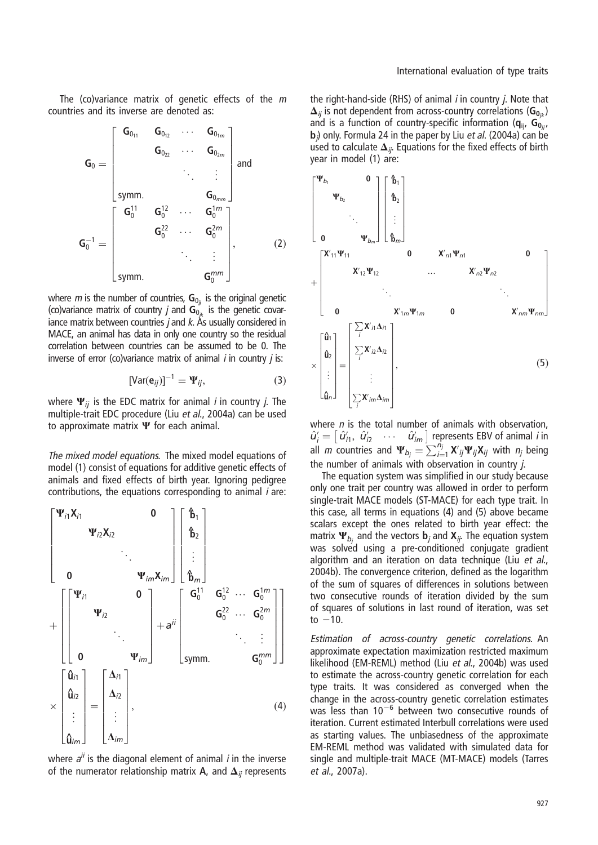The (co)variance matrix of genetic effects of the m countries and its inverse are denoted as:

$$
\mathbf{G}_{0} = \begin{bmatrix} \mathbf{G}_{0_{11}} & \mathbf{G}_{0_{12}} & \cdots & \mathbf{G}_{0_{1m}} \\ & \mathbf{G}_{0_{22}} & \cdots & \mathbf{G}_{0_{2m}} \\ & & \ddots & \vdots \\ \text{symm.} & & & \mathbf{G}_{0_{mm}} \end{bmatrix} \text{ and }
$$

$$
\mathbf{G}_{0}^{-1} = \begin{bmatrix} \mathbf{G}_{0}^{11} & \mathbf{G}_{0}^{12} & \cdots & \mathbf{G}_{0}^{1m} \\ & & \ddots & \vdots \\ & & \mathbf{G}_{0}^{22} & \cdots & \mathbf{G}_{0}^{2m} \\ & & & \ddots & \vdots \\ \text{symm.} & & & \mathbf{G}_{0}^{mm} \end{bmatrix}, \qquad (2)
$$

where *m* is the number of countries,  $\mathbf{G}_{0_{ij}}$  is the original genetic (co)variance matrix of country *j* and  $\mathbf{G}_{0_{ik}}$  is the genetic covariance matrix between countries  $j$  and  $k$ . As usually considered in MACE, an animal has data in only one country so the residual correlation between countries can be assumed to be 0. The inverse of error (co)variance matrix of animal  $i$  in country  $j$  is:

$$
[\text{Var}(\mathbf{e}_{ij})]^{-1} = \Psi_{ij},\tag{3}
$$

where  $\Psi_{ij}$  is the EDC matrix for animal *i* in country *j*. The multiple-trait EDC procedure (Liu et al., 2004a) can be used to approximate matrix  $\Psi$  for each animal.

The mixed model equations. The mixed model equations of model (1) consist of equations for additive genetic effects of animals and fixed effects of birth year. Ignoring pedigree contributions, the equations corresponding to animal i are:



where  $a^{ii}$  is the diagonal element of animal *i* in the inverse of the numerator relationship matrix A, and  $\Delta_{ii}$  represents

the right-hand-side (RHS) of animal  $i$  in country  $j$ . Note that  $\Delta_{ii}$  is not dependent from across-country correlations ( $G_{0_{ik}}$ ) and is a function of country-specific information  $(q_{ii},\,G_{0ii},\,G_{0ii})$ **b**<sub>j</sub>) only. Formula 24 in the paper by Liu *et al*. (2004a) can be used to calculate  $\Delta_{ij}$ . Equations for the fixed effects of birth year in model (1) are:



where  $n$  is the total number of animals with observation.  $\hat{u}'_i = \begin{bmatrix} \hat{u}'_1, & \hat{u}'_2 & \cdots & \hat{u}'_{im} \end{bmatrix}$  represents EBV of animal *i* in all *m* countries and  $\Psi_{b_j} = \sum_{i=1}^{m} X'_{ij} \Psi_{ij} X_{ij}$  with  $n_j$  being the number of animals with observation in country j.

The equation system was simplified in our study because only one trait per country was allowed in order to perform single-trait MACE models (ST-MACE) for each type trait. In this case, all terms in equations (4) and (5) above became scalars except the ones related to birth year effect: the matrix  $\Psi_{b_i}$  and the vectors  $\mathbf{b}_i$  and  $\mathbf{X}_{ii}$ . The equation system was solved using a pre-conditioned conjugate gradient algorithm and an iteration on data technique (Liu et al., 2004b). The convergence criterion, defined as the logarithm of the sum of squares of differences in solutions between two consecutive rounds of iteration divided by the sum of squares of solutions in last round of iteration, was set to  $-10$ .

Estimation of across-country genetic correlations. An approximate expectation maximization restricted maximum likelihood (EM-REML) method (Liu et al., 2004b) was used to estimate the across-country genetic correlation for each type traits. It was considered as converged when the change in the across-country genetic correlation estimates was less than  $10^{-6}$  between two consecutive rounds of iteration. Current estimated Interbull correlations were used as starting values. The unbiasedness of the approximate EM-REML method was validated with simulated data for single and multiple-trait MACE (MT-MACE) models (Tarres et al., 2007a).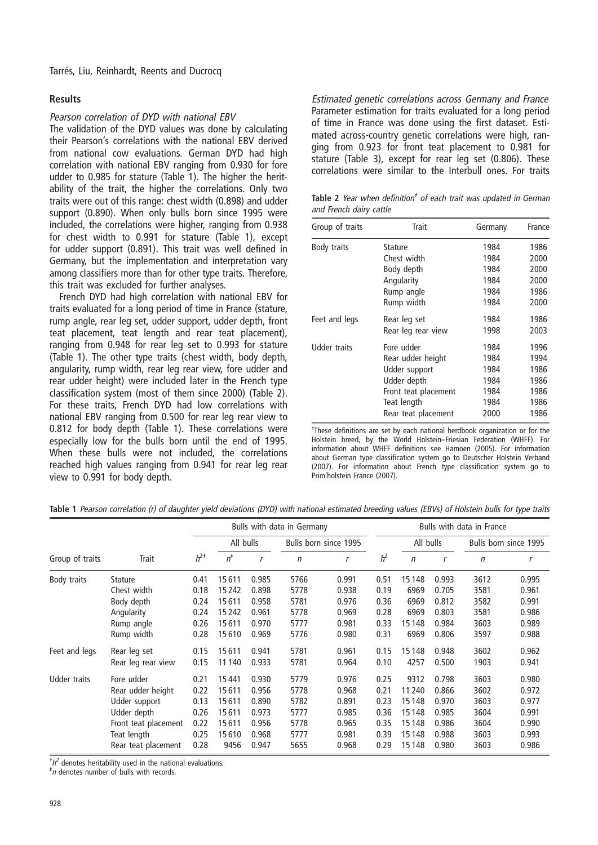#### Results

#### Pearson correlation of DYD with national EBV

The validation of the DYD values was done by calculating their Pearson's correlations with the national EBV derived from national cow evaluations. German DYD had high correlation with national EBV ranging from 0.930 for fore udder to 0.985 for stature (Table 1). The higher the heritability of the trait, the higher the correlations. Only two traits were out of this range: chest width (0.898) and udder support (0.890). When only bulls born since 1995 were included, the correlations were higher, ranging from 0.938 for chest width to 0.991 for stature (Table 1), except for udder support (0.891). This trait was well defined in Germany, but the implementation and interpretation vary among classifiers more than for other type traits. Therefore, this trait was excluded for further analyses.

French DYD had high correlation with national EBV for traits evaluated for a long period of time in France (stature, rump angle, rear leg set, udder support, udder depth, front teat placement, teat length and rear teat placement), ranging from 0.948 for rear leg set to 0.993 for stature (Table 1). The other type traits (chest width, body depth, angularity, rump width, rear leg rear view, fore udder and rear udder height) were included later in the French type classification system (most of them since 2000) (Table 2). For these traits, French DYD had low correlations with national EBV ranging from 0.500 for rear leg rear view to 0.812 for body depth (Table 1). These correlations were especially low for the bulls born until the end of 1995. When these bulls were not included, the correlations reached high values ranging from 0.941 for rear leg rear view to 0.991 for body depth.

Estimated genetic correlations across Germany and France Parameter estimation for traits evaluated for a long period of time in France was done using the first dataset. Estimated across-country genetic correlations were high, ranging from 0.923 for front teat placement to 0.981 for stature (Table 3), except for rear leg set (0.806). These correlations were similar to the Interbull ones. For traits

Table 2 Year when definition<sup>†</sup> of each trait was updated in German and French dairy cattle

| Group of traits     | Trait                | Germany | France |
|---------------------|----------------------|---------|--------|
| Body traits         | Stature              | 1984    | 1986   |
|                     | Chest width          | 1984    | 2000   |
|                     | Body depth           | 1984    | 2000   |
|                     | Angularity           | 1984    | 2000   |
|                     | Rump angle           | 1984    | 1986   |
|                     | Rump width           | 1984    | 2000   |
| Feet and legs       | Rear leg set         | 1984    | 1986   |
|                     | Rear leg rear view   | 1998    | 2003   |
| <b>Udder traits</b> | Fore udder           | 1984    | 1996   |
|                     | Rear udder height    | 1984    | 1994   |
|                     | Udder support        | 1984    | 1986   |
|                     | Udder depth          | 1984    | 1986   |
|                     | Front teat placement | 1984    | 1986   |
|                     | Teat length          | 1984    | 1986   |
|                     | Rear teat placement  | 2000    | 1986   |

<sup>+</sup>These definitions are set by each national herdbook organization or for the Holstein breed, by the World Holstein–Friesian Federation (WHFF). For information about WHFF definitions see Hamoen (2005). For information about German type classification system go to Deutscher Holstein Verband (2007). For information about French type classification system go to Prim'holstein France (2007).

Table 1 Pearson correlation (r) of daughter yield deviations (DYD) with national estimated breeding values (EBVs) of Holstein bulls for type traits

|                     |                      |          | Bulls with data in Germany |       |                       |       |                | Bulls with data in France |       |                       |       |
|---------------------|----------------------|----------|----------------------------|-------|-----------------------|-------|----------------|---------------------------|-------|-----------------------|-------|
|                     | Trait                |          | All bulls                  |       | Bulls born since 1995 |       |                | All bulls                 |       | Bulls born since 1995 |       |
| Group of traits     |                      | $h^{2+}$ | $n^*$                      | r     | $\mathsf{n}$          | r     | h <sup>2</sup> | $\mathsf{n}$              |       | n                     | r     |
| Body traits         | <b>Stature</b>       | 0.41     | 15611                      | 0.985 | 5766                  | 0.991 | 0.51           | 15148                     | 0.993 | 3612                  | 0.995 |
|                     | Chest width          | 0.18     | 15242                      | 0.898 | 5778                  | 0.938 | 0.19           | 6969                      | 0.705 | 3581                  | 0.961 |
|                     | Body depth           | 0.24     | 15611                      | 0.958 | 5781                  | 0.976 | 0.36           | 6969                      | 0.812 | 3582                  | 0.991 |
|                     | Angularity           | 0.24     | 15242                      | 0.961 | 5778                  | 0.969 | 0.28           | 6969                      | 0.803 | 3581                  | 0.986 |
|                     | Rump angle           | 0.26     | 15611                      | 0.970 | 5777                  | 0.981 | 0.33           | 15148                     | 0.984 | 3603                  | 0.989 |
|                     | Rump width           | 0.28     | 15610                      | 0.969 | 5776                  | 0.980 | 0.31           | 6969                      | 0.806 | 3597                  | 0.988 |
| Feet and legs       | Rear leg set         | 0.15     | 15611                      | 0.941 | 5781                  | 0.961 | 0.15           | 15148                     | 0.948 | 3602                  | 0.962 |
|                     | Rear leg rear view   | 0.15     | 11 1 40                    | 0.933 | 5781                  | 0.964 | 0.10           | 4257                      | 0.500 | 1903                  | 0.941 |
| <b>Udder traits</b> | Fore udder           | 0.21     | 15441                      | 0.930 | 5779                  | 0.976 | 0.25           | 9312                      | 0.798 | 3603                  | 0.980 |
|                     | Rear udder height    | 0.22     | 15611                      | 0.956 | 5778                  | 0.968 | 0.21           | 11 240                    | 0.866 | 3602                  | 0.972 |
|                     | Udder support        | 0.13     | 15611                      | 0.890 | 5782                  | 0.891 | 0.23           | 15148                     | 0.970 | 3603                  | 0.977 |
|                     | Udder depth          | 0.26     | 15611                      | 0.973 | 5777                  | 0.985 | 0.36           | 15148                     | 0.985 | 3604                  | 0.991 |
|                     | Front teat placement | 0.22     | 15611                      | 0.956 | 5778                  | 0.965 | 0.35           | 15148                     | 0.986 | 3604                  | 0.990 |
|                     | Teat length          | 0.25     | 15610                      | 0.968 | 5777                  | 0.981 | 0.39           | 15148                     | 0.988 | 3603                  | 0.993 |
|                     | Rear teat placement  | 0.28     | 9456                       | 0.947 | 5655                  | 0.968 | 0.29           | 15148                     | 0.980 | 3603                  | 0.986 |

 $h^2$  denotes heritability used in the national evaluations.

<sup>‡</sup>n denotes number of bulls with records.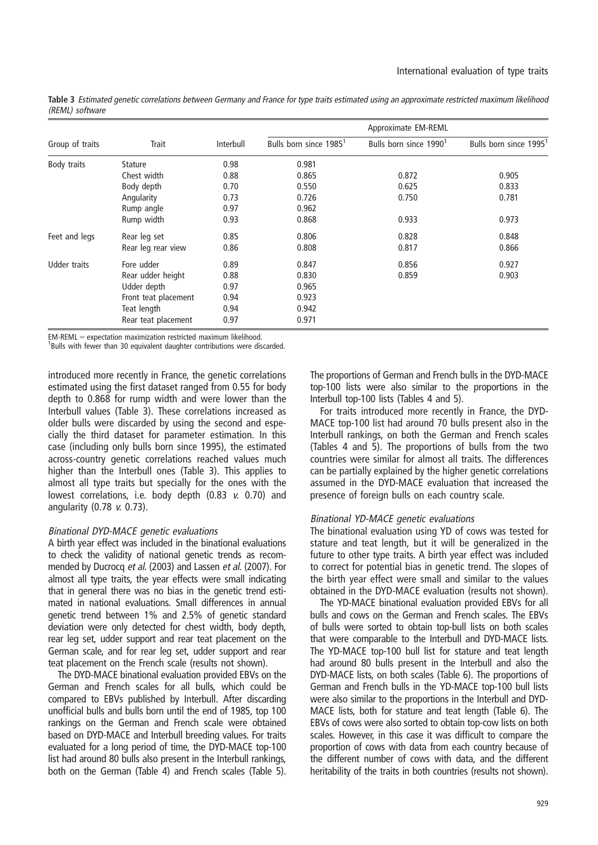|                 | Trait                |           | Approximate EM-REML                |                                    |                                    |  |  |  |
|-----------------|----------------------|-----------|------------------------------------|------------------------------------|------------------------------------|--|--|--|
| Group of traits |                      | Interbull | Bulls born since 1985 <sup>1</sup> | Bulls born since 1990 <sup>1</sup> | Bulls born since 1995 <sup>1</sup> |  |  |  |
| Body traits     | <b>Stature</b>       | 0.98      | 0.981                              |                                    |                                    |  |  |  |
|                 | Chest width          | 0.88      | 0.865                              | 0.872                              | 0.905                              |  |  |  |
|                 | Body depth           | 0.70      | 0.550                              | 0.625                              | 0.833                              |  |  |  |
|                 | Angularity           | 0.73      | 0.726                              | 0.750                              | 0.781                              |  |  |  |
|                 | Rump angle           | 0.97      | 0.962                              |                                    |                                    |  |  |  |
|                 | Rump width           | 0.93      | 0.868                              | 0.933                              | 0.973                              |  |  |  |
| Feet and legs   | Rear leg set         | 0.85      | 0.806                              | 0.828                              | 0.848                              |  |  |  |
|                 | Rear leg rear view   | 0.86      | 0.808                              | 0.817                              | 0.866                              |  |  |  |
| Udder traits    | Fore udder           | 0.89      | 0.847                              | 0.856                              | 0.927                              |  |  |  |
|                 | Rear udder height    | 0.88      | 0.830                              | 0.859                              | 0.903                              |  |  |  |
|                 | Udder depth          | 0.97      | 0.965                              |                                    |                                    |  |  |  |
|                 | Front teat placement | 0.94      | 0.923                              |                                    |                                    |  |  |  |
|                 | Teat length          | 0.94      | 0.942                              |                                    |                                    |  |  |  |
|                 | Rear teat placement  | 0.97      | 0.971                              |                                    |                                    |  |  |  |

Table 3 Estimated genetic correlations between Germany and France for type traits estimated using an approximate restricted maximum likelihood (REML) software

 $EM-REML =$  expectation maximization restricted maximum likelihood.

<sup>1</sup>Bulls with fewer than 30 equivalent daughter contributions were discarded.

introduced more recently in France, the genetic correlations estimated using the first dataset ranged from 0.55 for body depth to 0.868 for rump width and were lower than the Interbull values (Table 3). These correlations increased as older bulls were discarded by using the second and especially the third dataset for parameter estimation. In this case (including only bulls born since 1995), the estimated across-country genetic correlations reached values much higher than the Interbull ones (Table 3). This applies to almost all type traits but specially for the ones with the lowest correlations, i.e. body depth (0.83 v. 0.70) and angularity (0.78 v. 0.73).

#### Binational DYD-MACE genetic evaluations

A birth year effect was included in the binational evaluations to check the validity of national genetic trends as recommended by Ducrocq et al. (2003) and Lassen et al. (2007). For almost all type traits, the year effects were small indicating that in general there was no bias in the genetic trend estimated in national evaluations. Small differences in annual genetic trend between 1% and 2.5% of genetic standard deviation were only detected for chest width, body depth, rear leg set, udder support and rear teat placement on the German scale, and for rear leg set, udder support and rear teat placement on the French scale (results not shown).

The DYD-MACE binational evaluation provided EBVs on the German and French scales for all bulls, which could be compared to EBVs published by Interbull. After discarding unofficial bulls and bulls born until the end of 1985, top 100 rankings on the German and French scale were obtained based on DYD-MACE and Interbull breeding values. For traits evaluated for a long period of time, the DYD-MACE top-100 list had around 80 bulls also present in the Interbull rankings, both on the German (Table 4) and French scales (Table 5).

The proportions of German and French bulls in the DYD-MACE top-100 lists were also similar to the proportions in the Interbull top-100 lists (Tables 4 and 5).

For traits introduced more recently in France, the DYD-MACE top-100 list had around 70 bulls present also in the Interbull rankings, on both the German and French scales (Tables 4 and 5). The proportions of bulls from the two countries were similar for almost all traits. The differences can be partially explained by the higher genetic correlations assumed in the DYD-MACE evaluation that increased the presence of foreign bulls on each country scale.

#### Binational YD-MACE genetic evaluations

The binational evaluation using YD of cows was tested for stature and teat length, but it will be generalized in the future to other type traits. A birth year effect was included to correct for potential bias in genetic trend. The slopes of the birth year effect were small and similar to the values obtained in the DYD-MACE evaluation (results not shown).

The YD-MACE binational evaluation provided EBVs for all bulls and cows on the German and French scales. The EBVs of bulls were sorted to obtain top-bull lists on both scales that were comparable to the Interbull and DYD-MACE lists. The YD-MACE top-100 bull list for stature and teat length had around 80 bulls present in the Interbull and also the DYD-MACE lists, on both scales (Table 6). The proportions of German and French bulls in the YD-MACE top-100 bull lists were also similar to the proportions in the Interbull and DYD-MACE lists, both for stature and teat length (Table 6). The EBVs of cows were also sorted to obtain top-cow lists on both scales. However, in this case it was difficult to compare the proportion of cows with data from each country because of the different number of cows with data, and the different heritability of the traits in both countries (results not shown).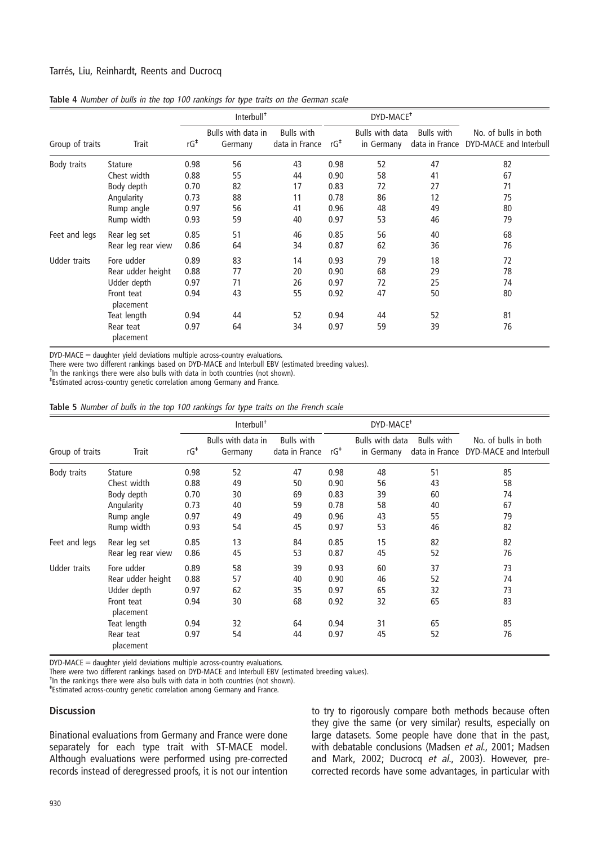#### Tarrés, Liu, Reinhardt, Reents and Ducrocq

|                     |                         | Interbull <sup>+</sup> |                               |                                     |        | DYD-MACE <sup>+</sup>         |                   |                                                               |
|---------------------|-------------------------|------------------------|-------------------------------|-------------------------------------|--------|-------------------------------|-------------------|---------------------------------------------------------------|
| Group of traits     | Trait                   | rG <sup>‡</sup>        | Bulls with data in<br>Germany | <b>Bulls</b> with<br>data in France | $rG^*$ | Bulls with data<br>in Germany | <b>Bulls</b> with | No. of bulls in both<br>data in France DYD-MACE and Interbull |
| Body traits         | <b>Stature</b>          | 0.98                   | 56                            | 43                                  | 0.98   | 52                            | 47                | 82                                                            |
|                     | Chest width             | 0.88                   | 55                            | 44                                  | 0.90   | 58                            | 41                | 67                                                            |
|                     | Body depth              | 0.70                   | 82                            | 17                                  | 0.83   | 72                            | 27                | 71                                                            |
|                     | Angularity              | 0.73                   | 88                            | 11                                  | 0.78   | 86                            | 12                | 75                                                            |
|                     | Rump angle              | 0.97                   | 56                            | 41                                  | 0.96   | 48                            | 49                | 80                                                            |
|                     | Rump width              | 0.93                   | 59                            | 40                                  | 0.97   | 53                            | 46                | 79                                                            |
| Feet and legs       | Rear leg set            | 0.85                   | 51                            | 46                                  | 0.85   | 56                            | 40                | 68                                                            |
|                     | Rear leg rear view      | 0.86                   | 64                            | 34                                  | 0.87   | 62                            | 36                | 76                                                            |
| <b>Udder traits</b> | Fore udder              | 0.89                   | 83                            | 14                                  | 0.93   | 79                            | 18                | 72                                                            |
|                     | Rear udder height       | 0.88                   | 77                            | 20                                  | 0.90   | 68                            | 29                | 78                                                            |
|                     | Udder depth             | 0.97                   | 71                            | 26                                  | 0.97   | 72                            | 25                | 74                                                            |
|                     | Front teat<br>placement | 0.94                   | 43                            | 55                                  | 0.92   | 47                            | 50                | 80                                                            |
|                     | Teat length             | 0.94                   | 44                            | 52                                  | 0.94   | 44                            | 52                | 81                                                            |
|                     | Rear teat<br>placement  | 0.97                   | 64                            | 34                                  | 0.97   | 59                            | 39                | 76                                                            |

Table 4 Number of bulls in the top 100 rankings for type traits on the German scale

 $DYD-MACE =$  daughter yield deviations multiple across-country evaluations.

There were two different rankings based on DYD-MACE and Interbull EBV (estimated breeding values).

- In the rankings there were also bulls with data in both countries (not shown).

- - Estimated across-country genetic correlation among Germany and France.

Table 5 Number of bulls in the top 100 rankings for type traits on the French scale

|                     |                         | Interbull <sup>+</sup> |                               |                                     |      | DYD-MACE <sup>+</sup>         |                   |                                                               |
|---------------------|-------------------------|------------------------|-------------------------------|-------------------------------------|------|-------------------------------|-------------------|---------------------------------------------------------------|
| Group of traits     | Trait                   | rG <sup>‡</sup>        | Bulls with data in<br>Germany | <b>Bulls</b> with<br>data in France | rG‡  | Bulls with data<br>in Germany | <b>Bulls with</b> | No. of bulls in both<br>data in France DYD-MACE and Interbull |
| Body traits         | <b>Stature</b>          | 0.98                   | 52                            | 47                                  | 0.98 | 48                            | 51                | 85                                                            |
|                     | Chest width             | 0.88                   | 49                            | 50                                  | 0.90 | 56                            | 43                | 58                                                            |
|                     | Body depth              | 0.70                   | 30                            | 69                                  | 0.83 | 39                            | 60                | 74                                                            |
|                     | Angularity              | 0.73                   | 40                            | 59                                  | 0.78 | 58                            | 40                | 67                                                            |
|                     | Rump angle              | 0.97                   | 49                            | 49                                  | 0.96 | 43                            | 55                | 79                                                            |
|                     | Rump width              | 0.93                   | 54                            | 45                                  | 0.97 | 53                            | 46                | 82                                                            |
| Feet and legs       | Rear leg set            | 0.85                   | 13                            | 84                                  | 0.85 | 15                            | 82                | 82                                                            |
|                     | Rear leg rear view      | 0.86                   | 45                            | 53                                  | 0.87 | 45                            | 52                | 76                                                            |
| <b>Udder traits</b> | Fore udder              | 0.89                   | 58                            | 39                                  | 0.93 | 60                            | 37                | 73                                                            |
|                     | Rear udder height       | 0.88                   | 57                            | 40                                  | 0.90 | 46                            | 52                | 74                                                            |
|                     | Udder depth             | 0.97                   | 62                            | 35                                  | 0.97 | 65                            | 32                | 73                                                            |
|                     | Front teat<br>placement | 0.94                   | 30                            | 68                                  | 0.92 | 32                            | 65                | 83                                                            |
|                     | Teat length             | 0.94                   | 32                            | 64                                  | 0.94 | 31                            | 65                | 85                                                            |
|                     | Rear teat<br>placement  | 0.97                   | 54                            | 44                                  | 0.97 | 45                            | 52                | 76                                                            |

 $DYD-MACE =$  daughter yield deviations multiple across-country evaluations.

There were two different rankings based on DYD-MACE and Interbull EBV (estimated breeding values).

- In the rankings there were also bulls with data in both countries (not shown).

- - Estimated across-country genetic correlation among Germany and France.

#### **Discussion**

Binational evaluations from Germany and France were done separately for each type trait with ST-MACE model. Although evaluations were performed using pre-corrected records instead of deregressed proofs, it is not our intention

to try to rigorously compare both methods because often they give the same (or very similar) results, especially on large datasets. Some people have done that in the past, with debatable conclusions (Madsen et al., 2001; Madsen and Mark, 2002; Ducrocq et al., 2003). However, precorrected records have some advantages, in particular with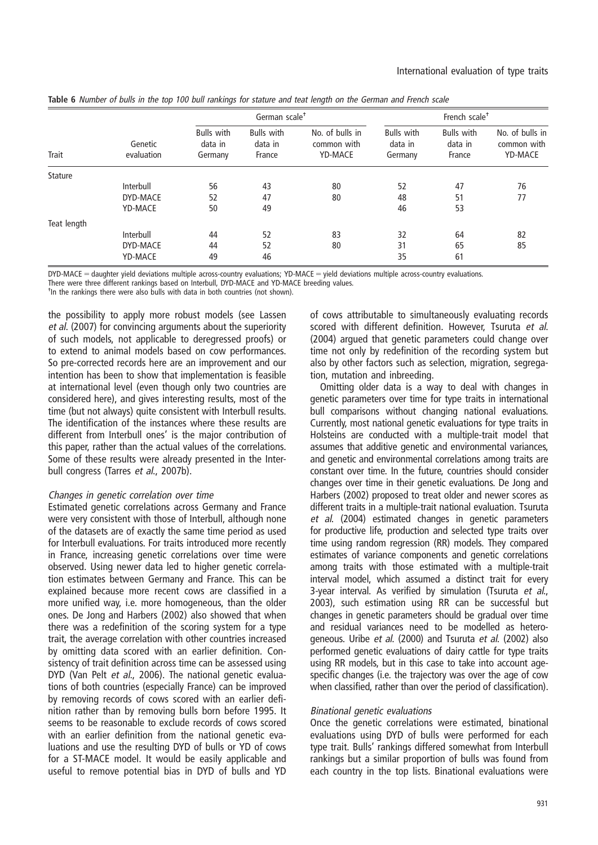| Trait          | Genetic<br>evaluation |                                         | German scale <sup>+</sup>              |                                           | French scale <sup>+</sup>               |                                        |                                                  |  |
|----------------|-----------------------|-----------------------------------------|----------------------------------------|-------------------------------------------|-----------------------------------------|----------------------------------------|--------------------------------------------------|--|
|                |                       | <b>Bulls with</b><br>data in<br>Germany | <b>Bulls</b> with<br>data in<br>France | No. of bulls in<br>common with<br>YD-MACE | <b>Bulls</b> with<br>data in<br>Germany | <b>Bulls</b> with<br>data in<br>France | No. of bulls in<br>common with<br><b>YD-MACE</b> |  |
| <b>Stature</b> |                       |                                         |                                        |                                           |                                         |                                        |                                                  |  |
|                | Interbull             | 56                                      | 43                                     | 80                                        | 52                                      | 47                                     | 76                                               |  |
|                | DYD-MACE              | 52                                      | 47                                     | 80                                        | 48                                      | 51                                     | 77                                               |  |
|                | <b>YD-MACE</b>        | 50                                      | 49                                     |                                           | 46                                      | 53                                     |                                                  |  |
| Teat length    |                       |                                         |                                        |                                           |                                         |                                        |                                                  |  |
|                | Interbull             | 44                                      | 52                                     | 83                                        | 32                                      | 64                                     | 82                                               |  |
|                | DYD-MACE              | 44                                      | 52                                     | 80                                        | 31                                      | 65                                     | 85                                               |  |
|                | <b>YD-MACE</b>        | 49                                      | 46                                     |                                           | 35                                      | 61                                     |                                                  |  |

Table 6 Number of bulls in the top 100 bull rankings for stature and teat length on the German and French scale

 $DYD\text{-}MACE =$  daughter yield deviations multiple across-country evaluations;  $YD\text{-}MACE =$  yield deviations multiple across-country evaluations.

There were three different rankings based on Interbull, DYD-MACE and YD-MACE breeding values.

- In the rankings there were also bulls with data in both countries (not shown).

the possibility to apply more robust models (see Lassen et al. (2007) for convincing arguments about the superiority of such models, not applicable to deregressed proofs) or to extend to animal models based on cow performances. So pre-corrected records here are an improvement and our intention has been to show that implementation is feasible at international level (even though only two countries are considered here), and gives interesting results, most of the time (but not always) quite consistent with Interbull results. The identification of the instances where these results are different from Interbull ones' is the major contribution of this paper, rather than the actual values of the correlations. Some of these results were already presented in the Interbull congress (Tarres et al., 2007b).

#### Changes in genetic correlation over time

Estimated genetic correlations across Germany and France were very consistent with those of Interbull, although none of the datasets are of exactly the same time period as used for Interbull evaluations. For traits introduced more recently in France, increasing genetic correlations over time were observed. Using newer data led to higher genetic correlation estimates between Germany and France. This can be explained because more recent cows are classified in a more unified way, i.e. more homogeneous, than the older ones. De Jong and Harbers (2002) also showed that when there was a redefinition of the scoring system for a type trait, the average correlation with other countries increased by omitting data scored with an earlier definition. Consistency of trait definition across time can be assessed using DYD (Van Pelt et al., 2006). The national genetic evaluations of both countries (especially France) can be improved by removing records of cows scored with an earlier definition rather than by removing bulls born before 1995. It seems to be reasonable to exclude records of cows scored with an earlier definition from the national genetic evaluations and use the resulting DYD of bulls or YD of cows for a ST-MACE model. It would be easily applicable and useful to remove potential bias in DYD of bulls and YD

of cows attributable to simultaneously evaluating records scored with different definition. However, Tsuruta et al. (2004) argued that genetic parameters could change over time not only by redefinition of the recording system but also by other factors such as selection, migration, segregation, mutation and inbreeding.

Omitting older data is a way to deal with changes in genetic parameters over time for type traits in international bull comparisons without changing national evaluations. Currently, most national genetic evaluations for type traits in Holsteins are conducted with a multiple-trait model that assumes that additive genetic and environmental variances, and genetic and environmental correlations among traits are constant over time. In the future, countries should consider changes over time in their genetic evaluations. De Jong and Harbers (2002) proposed to treat older and newer scores as different traits in a multiple-trait national evaluation. Tsuruta et al. (2004) estimated changes in genetic parameters for productive life, production and selected type traits over time using random regression (RR) models. They compared estimates of variance components and genetic correlations among traits with those estimated with a multiple-trait interval model, which assumed a distinct trait for every 3-year interval. As verified by simulation (Tsuruta et al., 2003), such estimation using RR can be successful but changes in genetic parameters should be gradual over time and residual variances need to be modelled as heterogeneous. Uribe et al. (2000) and Tsuruta et al. (2002) also performed genetic evaluations of dairy cattle for type traits using RR models, but in this case to take into account agespecific changes (i.e. the trajectory was over the age of cow when classified, rather than over the period of classification).

#### Binational genetic evaluations

Once the genetic correlations were estimated, binational evaluations using DYD of bulls were performed for each type trait. Bulls' rankings differed somewhat from Interbull rankings but a similar proportion of bulls was found from each country in the top lists. Binational evaluations were